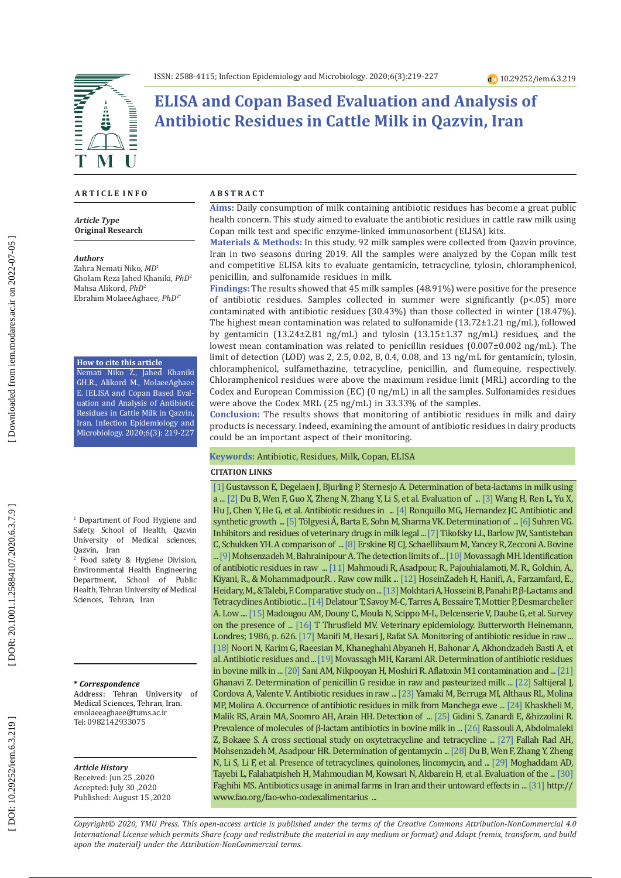

# **ELISA and Copan Based Evaluation and Analysis of Antibiotic Residues in Cattle Milk in Qazvin, Iran**

#### **A R T I C L E I N F O**

*Article Type* **Original Research**

#### *Authors*

Zahra Nemati Niko, *MD* 1 Gholam Reza Jahed Khaniki, *PhD* 2 Mahsa Alikord, *PhD* 2 Ebrahim MolaeeAghaee, *PhD*2\*

**How to cite this article**

Nemati Niko Z., Jahed Khaniki GH.R., Alikord M., MolaeeAghaee E. IELISA and Copan Based Eval uation and Analysis of Antibiotic Residues in Cattle Milk in Qazvin, Iran. Infection Epidemiology and Microbiology. 2020;6(3): 219-227

1 Department of Food Hygiene and Safety, School of Health, Qazvin University of Medical sciences, Qazvin, Iran

2 Food safety & Hygiene Division, Environmental Health Engineering Department, School of Public Health, Tehran University of Medical Sciences, Tehran, Iran

**\*** *Correspondence*

Address: Tehran University of Medical Sciences, Tehran, Iran. [emolaeeaghaee@tums.ac.ir](mailto:emolaeeaghaee@tums.ac.ir) Tel: 0982142933075

*Article History* Received: Jun 25 ,2020 Accepted: July 30 ,2020 Published: August 15 ,2020

#### **A B S T R A C T**

**Aims:** Daily consumption of milk containing antibiotic residues has become a great public health concern. This study aimed to evaluate the antibiotic residues in cattle raw milk using Copan milk test and specific enzyme-linked immunosorbent (ELIS A) kits.

**Materials & Methods:** In this study, 92 milk samples were collected from Qazvin province, Iran in two seasons during 2019. All the samples were analyzed by the Copan milk test and competitive ELISA kits to evaluate gentamicin, tetracycline, tylosin, chloramphenicol, penicillin, and sulfonamide residues in milk.

**Findings:** The results showed that 45 milk samples (48.91%) were positive for the presence of antibiotic residues. Samples collected in summer were significantly (p<.05) more contaminated with antibiotic residues (30.43%) than those collected in winter (18.47%). The highest mean contamination was related to sulfonamide (13.72±1.21 ng/mL), followed by gentamicin (13.24±2.81 ng/mL) and tylosin (13.15±1.37 ng/mL) residues, and the lowest mean contamination was related to penicillin residues (0.007±0.002 ng/mL). The limit of detection (LOD) was 2, 2.5, 0.02, 8, 0.4, 0.08, and 13 ng/mL for gentamicin, tylosin, chloramphenicol, sulfamethazine, tetracycline, penicillin, and flumequine, respectively. Chloramphenicol residues were above the maximum residue limit (MRL) according to the Codex and European Commission (EC) (0 ng/mL) in all the samples. Sulfonamides residues were above the Codex MRL (25 ng/mL) in 33.33% of the samples.

**Conclusion:** The results shows that monitoring of antibiotic residues in milk and dairy products is necessary. Indeed, examining the amount of antibiotic residues in dairy products could be an important aspect of their monitoring.

#### **Keywords:** Antibiotic, Residues, Milk, Copan, ELISA

#### **CITATION LINKS**

[\[1\]](https://pubs.acs.org/doi/abs/10.1021/jf0344284) Gustavsson E, Degelaen J, Bjurling P, Sternesjo A. Determination of beta-lactams in milk using a ... [\[2\]](https://www.sciencedirect.com/science/article/pii/S0956713519302944) Du B, Wen F, Guo X, Zheng N, Zhang Y, Li S, et al. Evaluation of ... [\[3\]](https://www.sciencedirect.com/science/article/pii/S0956713517302219) Wang H, Ren L, Yu X, Hu J, Chen Y, He G, et al. Antibiotic residues in ... [\[4\]](https://www.sciencedirect.com/science/article/pii/S0956713516301062) Ronquillo MG, Hernandez JC. Antibiotic and synthetic growth ... [\[5\]](https://link.springer.com/article/10.1007/s12161-018-1166-5) Tölgyesi Á, Barta E, Sohn M, Sharma VK. Determination of ... [\[6\]](https://www.google.com/url?sa=t&rct=j&q=&esrc=s&source=web&cd=&cad=rja&uact=8&ved=2ahUKEwi258LZncHsAhVMUhUIHZj8ABsQFjABegQIAhAC&url=https%3A%2F%2Fwww.researchgate.net%2Fpublication%2F288447759_Inhibitors_and_residues_of_veterinary_drugs_in_milk_-_Legal_ba\
sis_detection_methods_and_detection_systems&usg=AOvVaw2XYX7H9QQDA_XwDmaaftXT) Suhren VG. Inhibitors and residues of veterinary drugs in milk legal ... [\[7\]](https://www.liebertpub.com/doi/abs/10.1089/107662903322541883) Tikofsky LL, Barlow JW, Santisteban C, Schukken YH. A comparison of ... [\[8\]](https://www.google.com/url?sa=t&rct=j&q=&esrc=s&source=web&cd=&cad=rja&uact=8&ved=2ahUKEwipsqP3nsHsAhViTBUIHVHaAgcQFjAAegQIARAC&url=https%3A%2F%2Fwww.dairyproducer.ca%2Fnmc-research-committee-report-bovine-mastitis-pathogens-and-trends-in-resistance-to-an\
tibacterial-drugs%2F&usg=AOvVaw3E1g7egltSnS6zd8tpHke0) Erskine RJ CJ, Schaellibaum M, Yancey R, Zecconi A. Bovine ... [\[9\]](https://www.researchgate.net/profile/Mohammad_Mohsenzadeh2/publication/23781097_The_Detection_Limits_of_Antimicrobial_Agents_in_Cows_Milk_by_a_Simple_Yoghurt_Culture_Test/links/5755c89408ae0405a5757d38.pdf) Mohsenzadeh M, Bahrainipour A. The detection limits of ... [\[10\]](https://www.sid.ir/en/journal/ViewPaper.aspx?ID=245345) Movassagh MH. Identification of antibiotic residues in raw ... [\[11\]](http://search.proquest.com/openview/08f73e1c0eddaa3d4d58a11105da78c9/1?pq-origsite=gscholar&cbl=816390) Mahmoudi R, Asadpour, R., Pajouhialamoti, M. R., Golchin, A., Kiyani, R., & Mohammadpour,R. . Raw cow milk ... [\[12\]](http://research.kaums.ac.ir/Default.aspx?PageID=266&NewsID=323) HoseinZadeh H, Hanifi, A., Farzamfard, E., Heidary, M., & Talebi, F. Comparative study on ... [\[13\]](http://ijph.tums.ac.ir/index.php/ijph/article/view/4558/4205) Mokhtari A, Hosseini B, Panahi P. β-Lactams and Tetracyclines Antibiotic ... [\[14\]](https://www.sciencedirect.com/science/article/pii/S0956713518303517) Delatour T, Savoy M-C, Tarres A, Bessaire T, Mottier P, Desmarchelier A. Low .... [\[15\]](https://www.ncbi.nlm.nih.gov/pmc/articles/PMC6989326/) Madougou AM, Douny C, Moula N, Scippo M-L, Delcenserie V, Daube G, et al. Survey on the presence of ... [\[16\]](https://www.google.com/url?sa=t&rct=j&q=&esrc=s&source=web&cd=&cad=rja&uact=8&ved=2ahUKEwimk62Lp8HsAhXLVBUIHcwbBeQQFjABegQIARAC&url=https%3A%2F%2Fwww.elsevier.com%2Fbooks%2Fveterinary-epidemiology%2Fthrusfield%2F978-0-7506-1496-2&usg=AOvVaw25CB9N7DHJXDTrn\
uKjTa9Q) T Thrusfield MV. Veterinary epidemiology. Butterworth Heinemann, Londres; 1986, p. 626. [\[17\]](https://www.sid.ir/en/journal/ViewPaper.aspx?id=191218) Manifi M, Hesari J, Rafat S A. Monitoring of antibiotic residue in raw ... [\[18\]](https://ijvm.ut.ac.ir/article_35974_7.html) Noori N, Karim G, Raeesian M, Khaneghahi Abyaneh H, Bahonar A, Akhondzadeh Basti A, et al. Antibiotic residues and ... [\[19\]](https://www.cabdirect.org/cabdirect/abstract/20113063179) Movassagh MH, Karami AR. Determination of antibiotic residues in bovine milk in ...  $\lfloor 20 \rfloor$  Sani AM, Nikpooyan H, Moshiri R. Aflatoxin M1 contamination and ...  $\lfloor 21 \rfloor$ Ghanavi Z. Determination of penicillin G residue in raw and pasteurized milk ... [\[22\]](http://citeseerx.ist.psu.edu/viewdoc/download?doi=10.1.1.609.1022&rep=rep1&type=pdf) Saltijeral J, Cordova A, Valente V. Antibiotic residues in raw ... [\[23\]](https://www.sciencedirect.com/science/article/pii/S0022030204734487) Yamaki M, Berruga MI, Althaus RL, Molina MP, Molina A. Occurrence of antibiotic residues in milk from Manchega ewe ... [\[24\]](http://citeseerx.ist.psu.edu/viewdoc/download?doi=10.1.1.530.9435&rep=rep1&type=pdf) Khaskheli M, Malik RS, Arain MA, Soomro AH, Arain HH. Detection of ... [\[25\]](https://www.google.com/url?sa=t&rct=j&q=&esrc=s&source=web&cd=&cad=rja&uact=8&ved=2ahUKEwjcjfmyq8HsAhWrURUIHXl3BqoQFjAAegQIAxAC&url=http%3A%2F%2Fciteseerx.ist.psu.edu%2Fviewdoc%2Fdownload%3Fdoi%3D10.1.1.596.4686%26rep%3Drep1%26type%3Dpdf&usg=AOvVaw1l5h4Ig\
x5BB42G7W_W9v8Y) Gidini S, Zanardi E, &hizzolini R. Prevalence of molecules of β-lactam antibiotics in bovine milk in ... [\[26\]](https://journal.ut.ac.ir/article_20864_c5142044c942eb304b05e72094454672.pdf) Rassouli A, Abdolmaleki Z, Bokaee S. A cross sectional study on oxytetracycline and tetracycline ... [\[27\]](https://www.sid.ir/en/journal/ViewPaper.aspx?id=273833) Fallah Rad AH, Mohsenzadeh M, Asadpour HR. Determination of gentamycin ... [\[28\]](https://www.sciencedirect.com/science/article/pii/S095671351930012X) Du B, Wen F, Zhang Y, Zheng N, Li S, Li F, et al. Presence of tetracyclines, quinolones, lincomycin, and ... [\[29\]](http://vlibrary.emro.who.int/imemr/evaluation-of-the-tetracycline-residues-in-pasteurized-milks-distributed-in-tehran-by-hplc-method-2/) Moghaddam AD, Tayebi L, Falahatpisheh H, Mahmoudian M, Kowsari N, Akbarein H, et al. Evaluation of the ... [\[30\]](https://www.google.com/url?sa=t&rct=j&q=&esrc=s&source=web&cd=&cad=rja&uact=8&ved=2ahUKEwi4rZCbrcHsAhULQRUIHUN8CCEQFjAAegQIAxAC&url=https%3A%2F%2Fwww.frontiersin.org%2F10.3389%2Fconf.fphar.2010.60.00121%2Fevent_abstract&usg=AOvVaw0KbOlHeWTmnKwHB3PBOYoM)  Faghihi MS. Antibiotics usage in animal farms in Iran and their untoward effects in ... [\[31\]](https://www.google.com/url?sa=t&rct=j&q=&esrc=s&source=web&cd=&cad=rja&uact=8&ved=2ahUKEwis3prGrcHsAhUTrHEKHX3VAdkQFjAAegQIARAC&url=http%3A%2F%2Fwww.fao.org%2Ffao-who-codexalimentarius%2Fcodex-texts%2Fdbs%2Fvetdrugs%2Fen%2F&usg=AOvVaw3P9NsdTE2cEgZwuW-WFjF\
Q) http:// www.fao.org/fao-who-codexalimentarius ...

*Copyright© 2020, TMU Press. This open-access article is published under the terms of the Creative Commons Attribution-NonCommercial 4.0 International License which permits Share (copy and redistribute the material in any medium or format) and Adapt (remix, transform, and build upon the material) under the Attribution-NonCommercial terms.*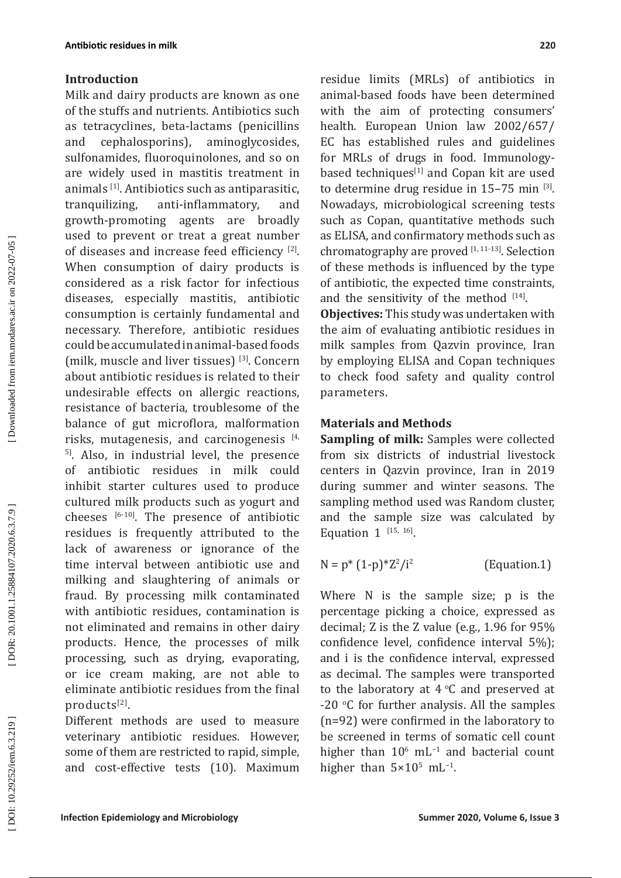### **Introduction**

Milk and dairy products are known as one of the stuffs and nutrients. Antibiotics such as tetracyclines, beta-lactams (penicillins and cephalosporins), aminoglycosides, sulfonamides, fluoroquinolones, and so on are widely used in mastitis treatment in animals [1]. Antibiotics such as antiparasitic, tranquilizing, anti-inflammatory, and growth-promoting agents are broadly used to prevent or treat a great number of diseases and increase feed efficiency [2]. When consumption of dairy products is considered as a risk factor for infectious diseases, especially mastitis, antibiotic consumption is certainly fundamental and necessary. Therefore, antibiotic residues could be accumulated in animal-based foods (milk, muscle and liver tissues) [3]. Concern about antibiotic residues is related to their undesirable effects on allergic reactions, resistance of bacteria, troublesome of the balance of gut microflora, malformation risks, mutagenesis, and carcinogenesis  $[4, 4]$ <sup>5]</sup>. Also, in industrial level, the presence of antibiotic residues in milk could inhibit starter cultures used to produce cultured milk products such as yogurt and cheeses [6-10]. The presence of antibiotic residues is frequently attributed to the lack of awareness or ignorance of the time interval between antibiotic use and milking and slaughtering of animals or fraud. By processing milk contaminated with antibiotic residues, contamination is not eliminated and remains in other dairy products. Hence, the processes of milk processing, such as drying, evaporating, or ice cream making, are not able to eliminate antibiotic residues from the final products[2].

Different methods are used to measure veterinary antibiotic residues. However, some of them are restricted to rapid, simple, and cost-effective tests (10). Maximum

residue limits (MRLs) of antibiotics in animal-based foods have been determined with the aim of protecting consumers' health. European Union law 2002/657/ EC has established rules and guidelines for MRLs of drugs in food. Immunologybased techniques<sup>[1]</sup> and Copan kit are used to determine drug residue in 15-75 min [3]. Nowadays, microbiological screening tests such as Copan, quantitative methods such as ELIS A, and confirmatory methods such as chromatography are proved [1, 11-13]. Selection of these methods is influenced by the type of antibiotic, the expected time constraints, and the sensitivity of the method  $[14]$ .

**Objectives:** This study was undertaken with the aim of evaluating antibiotic residues in milk samples from Qazvin province, Iran by employing ELISA and Copan techniques to check food safety and quality control parameters.

### **Materials and Methods**

**Sampling of milk:** Samples were collected from six districts of industrial livestock centers in Qazvin province, Iran in 2019 during summer and winter seasons. The sampling method used was Random cluster, and the sample size was calculated by Equation  $1^{[15, 16]}$ .

 $N = p^* (1-p)^* Z^2 / i^2$ (Equation.1)

Where N is the sample size; p is the percentage picking a choice, expressed as decimal; Z is the Z value (e.g., 1.96 for 95% confidence level, confidence interval 5%); and i is the confidence interval, expressed as decimal. The samples were transported to the laboratory at  $4^{\circ}$ C and preserved at  $-20$  °C for further analysis. All the samples (n=92) were confirmed in the laboratory to be screened in terms of somatic cell count higher than  $10<sup>6</sup>$  mL<sup>-1</sup> and bacterial count higher than  $5 \times 10^5$  mL<sup>-1</sup>.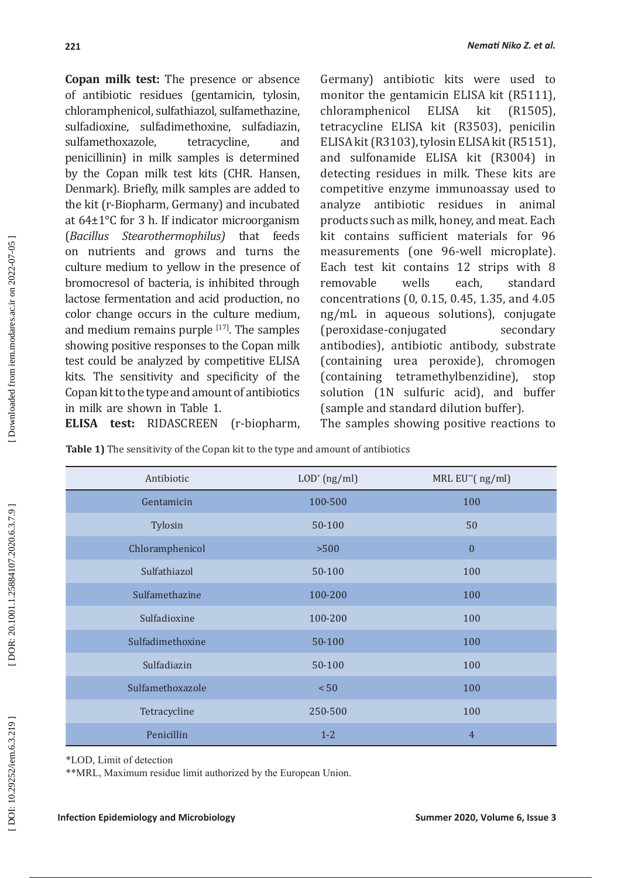**Copan milk test:** The presence or absence of antibiotic residues (gentamicin, tylosin, chloramphenicol, sulfathiazol, sulfamethazine, sulfadioxine, sulfadimethoxine, sulfadiazin,<br>sulfamethoxazole, tetracycline, and sulfamethoxazole, tetracycline, and penicillinin) in milk samples is determined by the Copan milk test kits (CHR. Hansen, Denmark). Briefly, milk samples are added to the kit (r-Biopharm, Germany) and incubated at 64±1°C for 3 h. If indicator microorganism (*Bacillus Stearothermophilus)* that feeds on nutrients and grows and turns the culture medium to yellow in the presence of bromocresol of bacteria, is inhibited through lactose fermentation and acid production, no color change occurs in the culture medium, and medium remains purple  $[17]$ . The samples showing positive responses to the Copan milk test could be analyzed by competitive ELISA kits. The sensitivity and specificity of the Copan kit to the type and amount of antibiotics in milk are shown in Table 1.

Germany) antibiotic kits were used to monitor the gentamicin ELISA kit (R5111),<br>chloramphenicol ELISA kit (R1505). chloramphenicol tetracycline ELISA kit (R3503), penicilin ELISA kit (R3103), tylosin ELISA kit (R5151), and sulfonamide ELISA kit (R3004) in detecting residues in milk. These kits are competitive enzyme immunoassay used to analyze antibiotic residues in animal products such as milk, honey, and meat. Each kit contains sufficient materials for 96 measurements (one 96-well microplate). Each test kit contains 12 strips with 8<br>removable vells each. standard removable concentrations (0, 0.15, 0.45, 1.35, and 4.05 ng/mL in aqueous solutions), conjugate (peroxidase-conjugated secondary antibodies), antibiotic antibody, substrate (containing urea peroxide), chromogen (containing tetramethylbenzidine), stop solution (1N sulfuric acid), and buffer (sample and standard dilution buffer).

**ELISA test:** RIDASCREEN (r-biopharm,

The samples showing positive reactions to

| Antibiotic       | $LOD^*$ (ng/ml) | MRL EU <sup>**</sup> (ng/ml) |  |  |
|------------------|-----------------|------------------------------|--|--|
| Gentamicin       | 100-500         | 100                          |  |  |
| Tylosin          | 50-100          | 50                           |  |  |
| Chloramphenicol  | >500            | $\mathbf{0}$                 |  |  |
| Sulfathiazol     | 50-100          | 100                          |  |  |
| Sulfamethazine   | 100-200         | 100                          |  |  |
| Sulfadioxine     | 100-200         | 100                          |  |  |
| Sulfadimethoxine | 50-100          | 100                          |  |  |
| Sulfadiazin      | 50-100          | 100                          |  |  |
| Sulfamethoxazole | < 50            | 100                          |  |  |
| Tetracycline     | 250-500         | 100                          |  |  |
| Penicillin       | $1 - 2$         | $\overline{4}$               |  |  |

**Table 1)** The sensitivity of the Copan kit to the type and amount of antibiotics

\*LOD, Limit of detection

\*\*MRL, Maximum residue limit authorized by the European Union.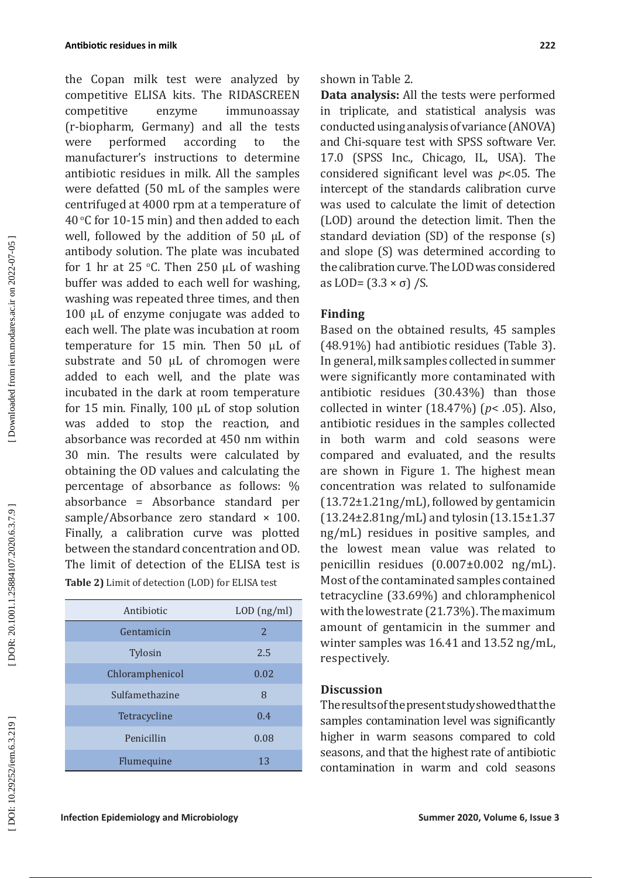the Copan milk test were analyzed by competitive ELISA kits. The RIDASCREEN competitive enzyme immunoassay (r-biopharm, Germany) and all the tests were performed according to the manufacturer's instructions to determine antibiotic residues in milk. All the samples were defatted (50 mL of the samples were centrifuged at 4000 rpm at a temperature of 40 °C for 10-15 min) and then added to each well, followed by the addition of 50 μL of antibody solution. The plate was incubated for 1 hr at 25 °C. Then 250  $\mu$ L of washing buffer was added to each well for washing, washing was repeated three times, and then 100 μL of enzyme conjugate was added to each well. The plate was incubation at room temperature for 15 min. Then 50 μL of substrate and 50 μL of chromogen were added to each well, and the plate was incubated in the dark at room temperature for 15 min. Finally, 100 μL of stop solution was added to stop the reaction, and absorbance was recorded at 450 nm within 30 min. The results were calculated by obtaining the OD values and calculating the percentage of absorbance as follows: % absorbance = Absorbance standard per sample/Absorbance zero standard  $\times$  100. Finally, a calibration curve was plotted between the standard concentration and OD. The limit of detection of the ELISA test is **Table 2)** Limit of detection (LOD) for ELISA test

| Antibiotic      | $LOD$ (ng/ml)  |  |  |
|-----------------|----------------|--|--|
| Gentamicin      | $\overline{2}$ |  |  |
| Tylosin         | 2.5            |  |  |
| Chloramphenicol | 0.02           |  |  |
| Sulfamethazine  | 8              |  |  |
| Tetracycline    | 0.4            |  |  |
| Penicillin      | 0.08           |  |  |
| Flumequine      | 13             |  |  |

shown in Table 2.

**Data analysis:** All the tests were performed in triplicate, and statistical analysis was conducted using analysis of variance ( ANOVA) and Chi-square test with SPSS software Ver. 17.0 (SPSS Inc., Chicago, IL, USA). The considered significant level was *p*<.05. The intercept of the standards calibration curve was used to calculate the limit of detection (LOD) around the detection limit. Then the standard deviation (SD) of the response (s) and slope (S) was determined according to the calibration curve. The LOD was considered as LOD=  $(3.3 \times \sigma)$  /S.

## **Finding**

Based on the obtained results, 45 samples (48.91%) had antibiotic residues (Table 3). In general, milk samples collected in summer were significantly more contaminated with antibiotic residues (30.43%) than those collected in winter (18.47%) ( *p*< .05). Also, antibiotic residues in the samples collected in both warm and cold seasons were compared and evaluated, and the results are shown in Figure 1. The highest mean concentration was related to sulfonamide (13.72±1.21ng/mL), followed by gentamicin (13.24±2.81ng/mL) and tylosin (13.15±1.37 ng/mL) residues in positive samples, and the lowest mean value was related to penicillin residues (0.007±0.002 ng/mL). Most of the contaminated samples contained tetracycline (33.69%) and chloramphenicol with the lowest rate (21.73%). The maximum amount of gentamicin in the summer and winter samples was 16.41 and 13.52 ng/mL, respectively.

### **Discussion**

The results of the present study showed that the samples contamination level was significantly higher in warm seasons compared to cold seasons, and that the highest rate of antibiotic contamination in warm and cold seasons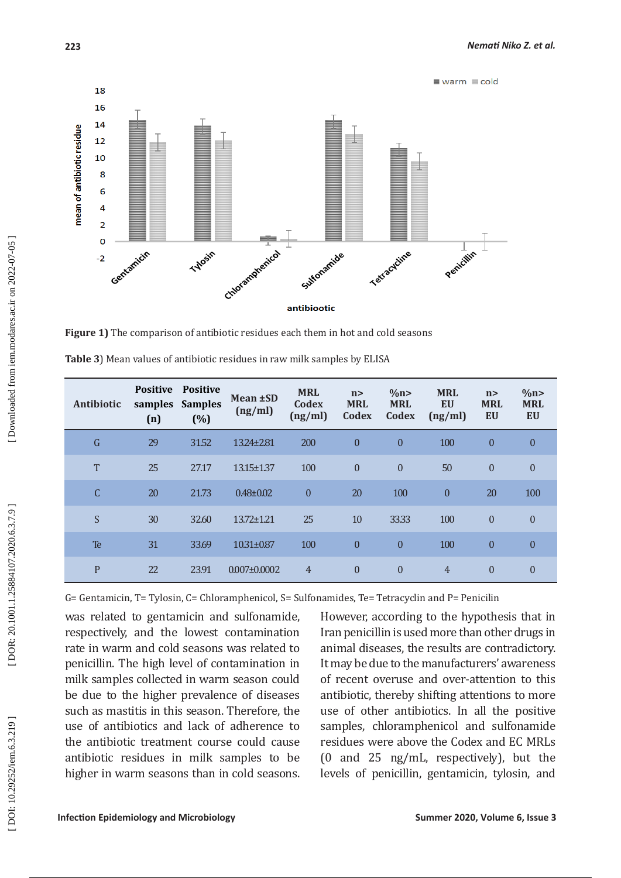



**Figure 1)** The comparison of antibiotic residues each them in hot and cold seasons

| Antibiotic   | <b>Positive</b><br>samples<br>(n) | <b>Positive</b><br><b>Samples</b><br>(%) | Mean ±SD<br>(ng/ml) | <b>MRL</b><br>Codex<br>(ng/ml) | n ><br><b>MRL</b><br>Codex | $\%$ n><br><b>MRL</b><br>Codex | <b>MRL</b><br><b>EU</b><br>(ng/ml) | n ><br><b>MRL</b><br>EU | $\%$ n><br><b>MRL</b><br>EU |
|--------------|-----------------------------------|------------------------------------------|---------------------|--------------------------------|----------------------------|--------------------------------|------------------------------------|-------------------------|-----------------------------|
| $\mathsf G$  | 29                                | 31.52                                    | 13.24±2.81          | 200                            | $\boldsymbol{0}$           | $\mathbf{0}$                   | 100                                | $\mathbf{0}$            | $\mathbf{0}$                |
| T            | 25                                | 27.17                                    | 13.15±1.37          | 100                            | $\mathbf{0}$               | $\theta$                       | 50                                 | $\theta$                | $\theta$                    |
| C            | 20                                | 21.73                                    | $0.48 \pm 0.02$     | $\mathbf{0}$                   | 20                         | 100                            | $\mathbf{0}$                       | 20                      | 100                         |
| S            | 30                                | 32.60                                    | 13.72±1.21          | 25                             | 10                         | 33.33                          | 100                                | $\theta$                | $\mathbf{0}$                |
| Te           | 31                                | 33.69                                    | 10.31±0.87          | 100                            | $\mathbf{0}$               | $\theta$                       | 100                                | $\theta$                | $\mathbf{0}$                |
| $\mathbf{P}$ | 22                                | 23.91                                    | $0.007 \pm 0.0002$  | $\overline{4}$                 | $\mathbf{0}$               | $\theta$                       | $\overline{4}$                     | $\theta$                | $\mathbf{0}$                |

**Table 3**) Mean values of antibiotic residues in raw milk samples by ELISA

G= Gentamicin, T= Tylosin, C= Chloramphenicol, S= Sulfonamides, Te= Tetracyclin and P= Penicilin

was related to gentamicin and sulfonamide, respectively, and the lowest contamination rate in warm and cold seasons was related to penicillin. The high level of contamination in milk samples collected in warm season could be due to the higher prevalence of diseases such as mastitis in this season. Therefore, the use of antibiotics and lack of adherence to the antibiotic treatment course could cause antibiotic residues in milk samples to be higher in warm seasons than in cold seasons.

However, according to the hypothesis that in Iran penicillin is used more than other drugs in animal diseases, the results are contradictory. It may be due to the manufacturers' awareness of recent overuse and over-attention to this antibiotic, thereby shifting attentions to more use of other antibiotics. In all the positive samples, chloramphenicol and sulfonamide residues were above the Codex and EC MRLs (0 and 25 ng/mL, respectively), but the levels of penicillin, gentamicin, tylosin, and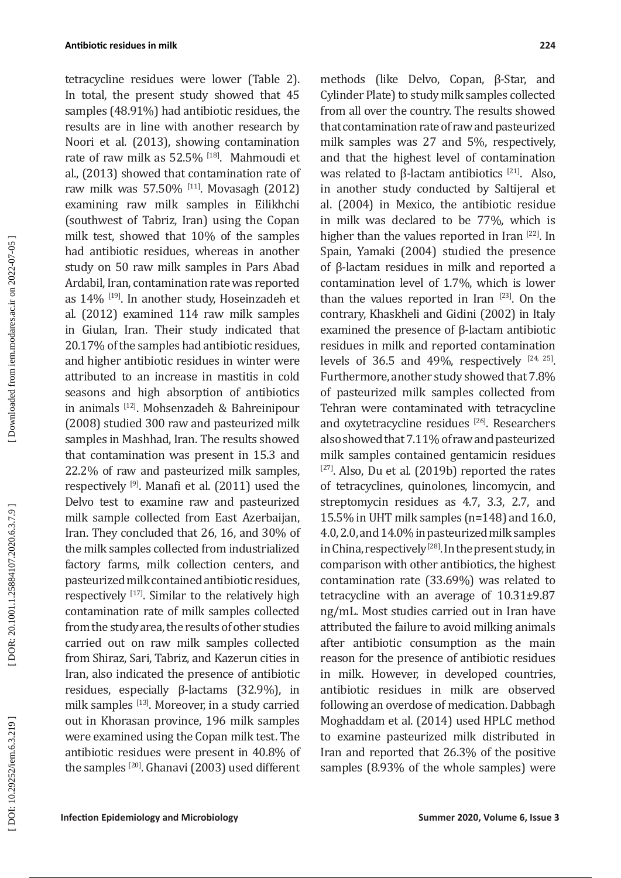tetracycline residues were lower (Table 2). In total, the present study showed that 45 samples (48.91%) had antibiotic residues, the results are in line with another research by Noori et al. (2013), showing contamination rate of raw milk as 52.5% [18]. Mahmoudi et al., (2013) showed that contamination rate of raw milk was 57.50% [11]. Movasagh (2012) examining raw milk samples in Eilikhchi (southwest of Tabriz, Iran) using the Copan milk test, showed that 10% of the samples had antibiotic residues, whereas in another study on 50 raw milk samples in Pars Abad Ardabil, Iran, contamination rate was reported as 14% [19]. In another study, Hoseinzadeh et al *.* (2012) examined 114 raw milk samples in Giulan, Iran. Their study indicated that 20.17% of the samples had antibiotic residues, and higher antibiotic residues in winter were attributed to an increase in mastitis in cold seasons and high absorption of antibiotics in animals [12]. Mohsenzadeh & Bahreinipour (2008) studied 300 raw and pasteurized milk samples in Mashhad, Iran. The results showed that contamination was present in 15.3 and 22.2% of raw and pasteurized milk samples, respectively [9]. Manafi et al. (2011) used the Delvo test to examine raw and pasteurized milk sample collected from East Azerbaijan, Iran. They concluded that 26, 16, and 30% of the milk samples collected from industrialized factory farms, milk collection centers, and pasteurized milk contained antibiotic residues, respectively  $[17]$ . Similar to the relatively high contamination rate of milk samples collected from the study area, the results of other studies carried out on raw milk samples collected from Shiraz, Sari, Tabriz, and Kazerun cities in Iran, also indicated the presence of antibiotic residues, especially β-lactams (32.9%), in milk samples [13]. Moreover, in a study carried out in Khorasan province, 196 milk samples were examined using the Copan milk test. The antibiotic residues were present in 40.8% of the samples [20]. Ghanavi (2003) used different

methods (like Delvo, Copan, β-Star, and Cylinder Plate) to study milk samples collected from all over the country. The results showed that contamination rate of raw and pasteurized milk samples was 27 and 5%, respectively, and that the highest level of contamination was related to β-lactam antibiotics  $[21]$ . Also, in another study conducted by Saltijeral et al. (2004) in Mexico, the antibiotic residue in milk was declared to be 77%, which is higher than the values reported in Iran [22]. In Spain, Yamaki (2004) studied the presence of β-lactam residues in milk and reported a contamination level of 1.7%, which is lower than the values reported in Iran [23]. On the contrary, Khaskheli and Gidini (2002) in Italy examined the presence of β-lactam antibiotic residues in milk and reported contamination levels of 36.5 and 49%, respectively  $[24, 25]$ . Furthermore, another study showed that 7.8% of pasteurized milk samples collected from Tehran were contaminated with tetracycline and oxytetracycline residues [26]. Researchers also showed that 7.11% of raw and pasteurized milk samples contained gentamicin residues <sup>[27]</sup>. Also, Du et al. (2019b) reported the rates of tetracyclines, quinolones, lincomycin, and streptomycin residues as 4.7, 3.3, 2.7, and 15.5% in UHT milk samples (n=148) and 16.0, 4.0, 2.0, and 14.0% in pasteurized milk samples in China, respectively<sup>[28]</sup>. In the present study, in comparison with other antibiotics, the highest contamination rate (33.69%) was related to tetracycline with an average of 10.31±9.87 ng/mL. Most studies carried out in Iran have attributed the failure to avoid milking animals after antibiotic consumption as the main reason for the presence of antibiotic residues in milk. However, in developed countries, antibiotic residues in milk are observed following an overdose of medication. Dabbagh Moghaddam et al. (2014) used HPLC method to examine pasteurized milk distributed in Iran and reported that 26.3% of the positive samples (8.93% of the whole samples) were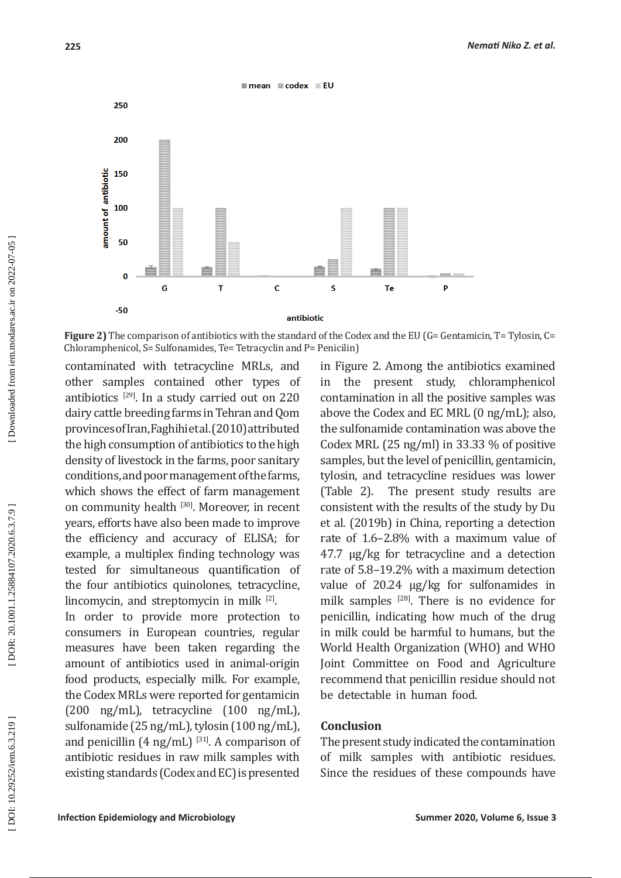

Figure 2) The comparison of antibiotics with the standard of the Codex and the EU (G= Gentamicin, T= Tylosin, C= Chloramphenicol, S= Sulfonamides, Te= Tetracyclin and P= Penicilin)

contaminated with tetracycline MRLs, and other samples contained other types of antibiotics  $[29]$ . In a study carried out on 220 dairy cattle breeding farms in Tehran and Qom provinces of Iran, Faghihi et al. (2010) attributed the high consumption of antibiotics to the high density of livestock in the farms, poor sanitary conditions, and poor management of the farms, which shows the effect of farm management on community health [30]. Moreover, in recent years, efforts have also been made to improve the efficiency and accuracy of ELIS A; for example, a multiplex finding technology was tested for simultaneous quantification of the four antibiotics quinolones, tetracycline,  $\lim_{\text{conv}}$  and streptomycin in milk  $^{[2]}$ .

In order to provide more protection to consumers in European countries, regular measures have been taken regarding the amount of antibiotics used in animal-origin food products, especially milk. For example, the Codex MRLs were reported for gentamicin (200 ng/mL), tetracycline (100 ng/mL), sulfonamide (25 ng/mL), tylosin (100 ng/mL), and penicillin  $(4 \text{ ng/mL})$  [31]. A comparison of antibiotic residues in raw milk samples with existing standards (Codex and EC) is presented

in Figure 2. Among the antibiotics examined in the present study, chloramphenicol contamination in all the positive samples was above the Codex and EC MRL (0 ng/mL); also, the sulfonamide contamination was above the Codex MRL (25 ng/ml) in 33.33 % of positive samples, but the level of penicillin, gentamicin, tylosin, and tetracycline residues was lower (Table 2). The present study results are consistent with the results of the study by Du et al. (2019b) in China, reporting a detection rate of 1.6–2.8% with a maximum value of 47.7 μg/kg for tetracycline and a detection rate of 5.8–19.2% with a maximum detection value of 20.24 μg/kg for sulfonamides in milk samples <sup>[28]</sup>. There is no evidence for penicillin, indicating how much of the drug in milk could be harmful to humans, but the World Health Organization (WHO) and WHO Joint Committee on Food and Agriculture recommend that penicillin residue should not be detectable in human food.

### **Conclusion**

The present study indicated the contamination of milk samples with antibiotic residues. Since the residues of these compounds have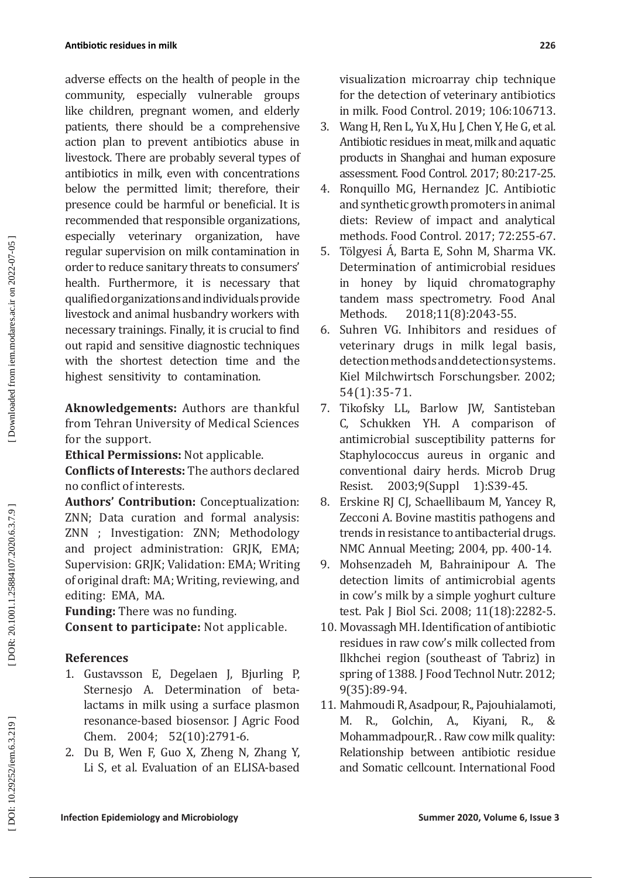#### **Antibiotic residues in milk**

adverse effects on the health of people in the community, especially vulnerable groups like children, pregnant women, and elderly patients, there should be a comprehensive action plan to prevent antibiotics abuse in livestock. There are probably several types of antibiotics in milk, even with concentrations below the permitted limit; therefore, their presence could be harmful or beneficial. It is recommended that responsible organizations, especially veterinary organization, have regular supervision on milk contamination in order to reduce sanitary threats to consumers' health. Furthermore, it is necessary that qualified organizations and individuals provide livestock and animal husbandry workers with necessary trainings. Finally, it is crucial to find out rapid and sensitive diagnostic techniques with the shortest detection time and the highest sensitivity to contamination.

**Aknowledgements:** Authors are thankful from Tehran University of Medical Sciences for the support.

**Ethical Permissions:** Not applicable.

**Conflicts of Interests:** The authors declared no conflict of interests.

**Authors' Contribution:** Conceptualization: ZNN; Data curation and formal analysis: ZNN ; Investigation: ZNN; Methodology and project administration: GRJK, EMA; Supervision: GRJK; Validation: EM A; Writing of original draft: MA; Writing, reviewing, and editing: EMA, MA.

**Funding:** There was no funding. **Consent to participate:** Not applicable.

### **References**

- 1. Gustavsson E, Degelaen J, Bjurling P, Sternesjo A. Determination of betalactams in milk using a surface plasmon resonance-based biosensor. J Agric Food Chem. 2004; 52(10):2791-6.
- 2. Du B, Wen F, Guo X, Zheng N, Zhang Y, Li S, et al. Evaluation of an ELISA-based

visualization microarray chip technique for the detection of veterinary antibiotics in milk. Food Control. 2019; 106:106713.

- 3. Wang H, Ren L, Yu X, Hu J, Chen Y, He G, et al. Antibiotic residues in meat, milk and aquatic products in Shanghai and human exposure assessment. Food Control. 2017; 80:217-25.
- 4. Ronquillo MG, Hernandez JC. Antibiotic and synthetic growth promoters in animal diets: Review of impact and analytical methods. Food Control. 2017; 72:255-67.
- 5. Tölgyesi Á, Barta E, Sohn M, Sharma VK. Determination of antimicrobial residues in honey by liquid chromatography tandem mass spectrometry. Food Anal<br>Methods. 2018;11(8):2043-55. 2018;11(8):2043-55.
- 6. Suhren VG. Inhibitors and residues of veterinary drugs in milk legal basis, detection methods and detection systems. Kiel Milchwirtsch Forschungsber. 2002; 54(1):35-71.
- 7. Tikofsky LL, Barlow JW, Santisteban C, Schukken YH. A comparison of antimicrobial susceptibility patterns for Staphylococcus aureus in organic and conventional dairy herds. Microb Drug<br>Resist. 2003:9(Suppl 1):S39-45. 2003;9(Suppl 1):S39-45.
- 8. Erskine RJ CJ, Schaellibaum M, Yancey R, Zecconi A. Bovine mastitis pathogens and trends in resistance to antibacterial drugs. NMC Annual Meeting; 2004, pp. 400-14.
- 9. Mohsenzadeh M, Bahrainipour A. The detection limits of antimicrobial agents in cow's milk by a simple yoghurt culture test. Pak J Biol Sci. 2008; 11(18):2282-5.
- 10. Movassagh MH. Identification of antibiotic residues in raw cow's milk collected from Ilkhchei region (southeast of Tabriz) in spring of 1388. J Food Technol Nutr. 2012; 9(35):89-94.
- 11. Mahmoudi R, Asadpour, R., Pajouhialamoti, M. R., Golchin, A., Kiyani, R., & Mohammadpour,R. . Raw cow milk quality: Relationship between antibiotic residue and Somatic cellcount. International Food